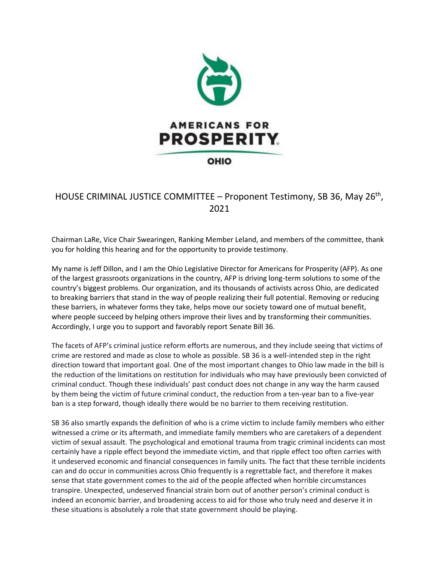

## HOUSE CRIMINAL JUSTICE COMMITTEE - Proponent Testimony, SB 36, May 26<sup>th</sup>, 2021

Chairman LaRe, Vice Chair Swearingen, Ranking Member Leland, and members of the committee, thank you for holding this hearing and for the opportunity to provide testimony.

My name is Jeff Dillon, and I am the Ohio Legislative Director for Americans for Prosperity (AFP). As one of the largest grassroots organizations in the country, AFP is driving long-term solutions to some of the country's biggest problems. Our organization, and its thousands of activists across Ohio, are dedicated to breaking barriers that stand in the way of people realizing their full potential. Removing or reducing these barriers, in whatever forms they take, helps move our society toward one of mutual benefit, where people succeed by helping others improve their lives and by transforming their communities. Accordingly, I urge you to support and favorably report Senate Bill 36.

The facets of AFP's criminal justice reform efforts are numerous, and they include seeing that victims of crime are restored and made as close to whole as possible. SB 36 is a well-intended step in the right direction toward that important goal. One of the most important changes to Ohio law made in the bill is the reduction of the limitations on restitution for individuals who may have previously been convicted of criminal conduct. Though these individuals' past conduct does not change in any way the harm caused by them being the victim of future criminal conduct, the reduction from a ten-year ban to a five-year ban is a step forward, though ideally there would be no barrier to them receiving restitution.

SB 36 also smartly expands the definition of who is a crime victim to include family members who either witnessed a crime or its aftermath, and immediate family members who are caretakers of a dependent victim of sexual assault. The psychological and emotional trauma from tragic criminal incidents can most certainly have a ripple effect beyond the immediate victim, and that ripple effect too often carries with it undeserved economic and financial consequences in family units. The fact that these terrible incidents can and do occur in communities across Ohio frequently is a regrettable fact, and therefore it makes sense that state government comes to the aid of the people affected when horrible circumstances transpire. Unexpected, undeserved financial strain born out of another person's criminal conduct is indeed an economic barrier, and broadening access to aid for those who truly need and deserve it in these situations is absolutely a role that state government should be playing.